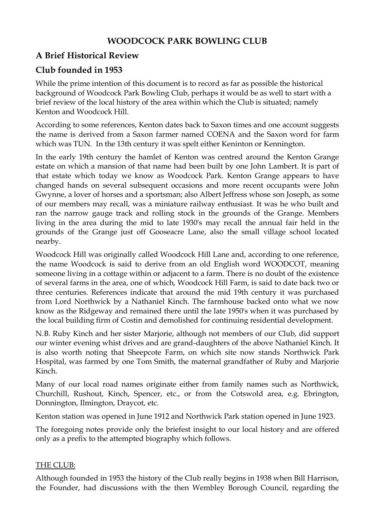## **WOODCOCK PARK BOWLING CLUB**

# **A Brief Historical Review**

## **Club founded in 1953**

While the prime intention of this document is to record as far as possible the historical background of Woodcock Park Bowling Club, perhaps it would be as well to start with a brief review of the local history of the area within which the Club is situated; namely Kenton and Woodcock Hill.

According to some references, Kenton dates back to Saxon times and one account suggests the name is derived from a Saxon farmer named COENA and the Saxon word for farm which was TUN. In the 13th century it was spelt either Keninton or Kennington.

In the early 19th century the hamlet of Kenton was centred around the Kenton Grange estate on which a mansion of that name had been built by one John Lambert. It is part of that estate which today we know as Woodcock Park. Kenton Grange appears to have changed hands on several subsequent occasions and more recent occupants were John Gwynne, a lover of horses and a sportsman; also Albert Jeffress whose son Joseph, as some of our members may recall, was a miniature railway enthusiast. It was he who built and ran the narrow gauge track and rolling stock in the grounds of the Grange. Members living in the area during the mid to late 1930's may recall the annual fair held in the grounds of the Grange just off Gooseacre Lane, also the small village school located nearby.

Woodcock Hill was originally called Woodcock Hill Lane and, according to one reference, the name Woodcock is said to derive from an old English word WOODCOT, meaning someone living in a cottage within or adjacent to a farm. There is no doubt of the existence of several farms in the area, one of which, Woodcock Hill Farm, is said to date back two or three centuries. References indicate that around the mid 19th century it was purchased from Lord Northwick by a Nathaniel Kinch. The farmhouse backed onto what we now know as the Ridgeway and remained there until the late 1950's when it was purchased by the local building firm of Costin and demolished for continuing residential development.

N.B. Ruby Kinch and her sister Marjorie, although not members of our Club, did support our winter evening whist drives and are grand-daughters of the above Nathaniel Kinch. It is also worth noting that Sheepcote Farm, on which site now stands Northwick Park Hospital, was farmed by one Tom Smith, the maternal grandfather of Ruby and Marjorie Kinch.

Many of our local road names originate either from family names such as Northwick, Churchill, Rushout, Kinch, Spencer, etc., or from the Cotswold area, e.g. Ebrington, Donnington, Ilmington, Draycot, etc.

Kenton station was opened in June 1912 and Northwick Park station opened in June 1923.

The foregoing notes provide only the briefest insight to our local history and are offered only as a prefix to the attempted biography which follows.

### THE CLUB:

Although founded in 1953 the history of the Club really begins in 1938 when Bill Harrison, the Founder, had discussions with the then Wembley Borough Council, regarding the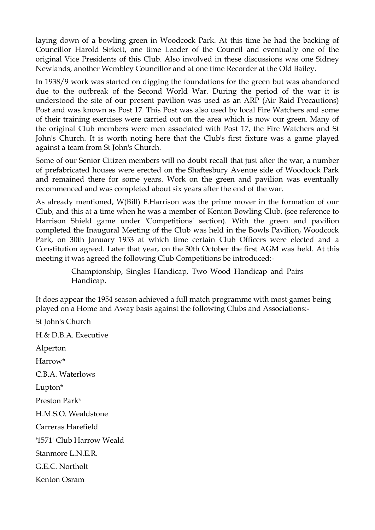laying down of a bowling green in Woodcock Park. At this time he had the backing of Councillor Harold Sirkett, one time Leader of the Council and eventually one of the original Vice Presidents of this Club. Also involved in these discussions was one Sidney Newlands, another Wembley Councillor and at one time Recorder at the Old Bailey.

In 1938/9 work was started on digging the foundations for the green but was abandoned due to the outbreak of the Second World War. During the period of the war it is understood the site of our present pavilion was used as an ARP (Air Raid Precautions) Post and was known as Post 17. This Post was also used by local Fire Watchers and some of their training exercises were carried out on the area which is now our green. Many of the original Club members were men associated with Post 17, the Fire Watchers and St John's Church. It is worth noting here that the Club's first fixture was a game played against a team from St John's Church.

Some of our Senior Citizen members will no doubt recall that just after the war, a number of prefabricated houses were erected on the Shaftesbury Avenue side of Woodcock Park and remained there for some years. Work on the green and pavilion was eventually recommenced and was completed about six years after the end of the war.

As already mentioned, W(Bill) F.Harrison was the prime mover in the formation of our Club, and this at a time when he was a member of Kenton Bowling Club. (see reference to Harrison Shield game under 'Competitions' section). With the green and pavilion completed the Inaugural Meeting of the Club was held in the Bowls Pavilion, Woodcock Park, on 30th January 1953 at which time certain Club Officers were elected and a Constitution agreed. Later that year, on the 30th October the first AGM was held. At this meeting it was agreed the following Club Competitions be introduced:-

> Championship, Singles Handicap, Two Wood Handicap and Pairs Handicap.

It does appear the 1954 season achieved a full match programme with most games being played on a Home and Away basis against the following Clubs and Associations:-

St John's Church H.& D.B.A. Executive Alperton Harrow\* C.B.A. Waterlows Lupton\* Preston Park\* H.M.S.O. Wealdstone Carreras Harefield '1571' Club Harrow Weald Stanmore L.N.E.R. G.E.C. Northolt Kenton Osram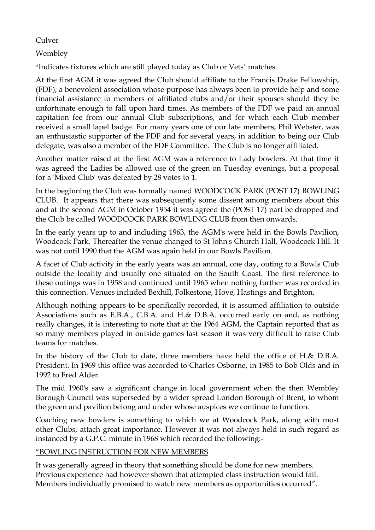#### Culver

Wembley

\*Indicates fixtures which are still played today as Club or Vets' matches.

At the first AGM it was agreed the Club should affiliate to the Francis Drake Fellowship, (FDF), a benevolent association whose purpose has always been to provide help and some financial assistance to members of affiliated clubs and/or their spouses should they be unfortunate enough to fall upon hard times. As members of the FDF we paid an annual capitation fee from our annual Club subscriptions, and for which each Club member received a small lapel badge. For many years one of our late members, Phil Webster, was an enthusiastic supporter of the FDF and for several years, in addition to being our Club delegate, was also a member of the FDF Committee. The Club is no longer affiliated.

Another matter raised at the first AGM was a reference to Lady bowlers. At that time it was agreed the Ladies be allowed use of the green on Tuesday evenings, but a proposal for a 'Mixed Club' was defeated by 28 votes to 1.

In the beginning the Club was formally named WOODCOCK PARK (POST 17) BOWLING CLUB. It appears that there was subsequently some dissent among members about this and at the second AGM in October 1954 it was agreed the (POST 17) part be dropped and the Club be called WOODCOCK PARK BOWLING CLUB from then onwards.

In the early years up to and including 1963, the AGM's were held in the Bowls Pavilion, Woodcock Park. Thereafter the venue changed to St John's Church Hall, Woodcock Hill. It was not until 1990 that the AGM was again held in our Bowls Pavilion.

A facet of Club activity in the early years was an annual, one day, outing to a Bowls Club outside the locality and usually one situated on the South Coast. The first reference to these outings was in 1958 and continued until 1965 when nothing further was recorded in this connection. Venues included Bexhill, Folkestone, Hove, Hastings and Brighton.

Although nothing appears to be specifically recorded, it is assumed affiliation to outside Associations such as E.B.A., C.B.A. and H.& D.B.A. occurred early on and, as nothing really changes, it is interesting to note that at the 1964 AGM, the Captain reported that as so many members played in outside games last season it was very difficult to raise Club teams for matches.

In the history of the Club to date, three members have held the office of H.& D.B.A. President. In 1969 this office was accorded to Charles Osborne, in 1985 to Bob Olds and in 1992 to Fred Alder.

The mid 1960's saw a significant change in local government when the then Wembley Borough Council was superseded by a wider spread London Borough of Brent, to whom the green and pavilion belong and under whose auspices we continue to function.

Coaching new bowlers is something to which we at Woodcock Park, along with most other Clubs, attach great importance. However it was not always held in such regard as instanced by a G.P.C. minute in 1968 which recorded the following:-

### "BOWLING INSTRUCTION FOR NEW MEMBERS

It was generally agreed in theory that something should be done for new members. Previous experience had however shown that attempted class instruction would fail. Members individually promised to watch new members as opportunities occurred".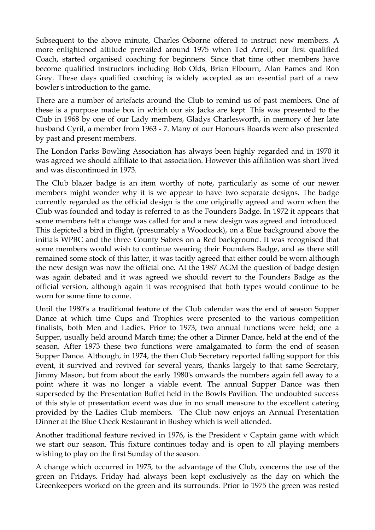Subsequent to the above minute, Charles Osborne offered to instruct new members. A more enlightened attitude prevailed around 1975 when Ted Arrell, our first qualified Coach, started organised coaching for beginners. Since that time other members have become qualified instructors including Bob Olds, Brian Elbourn, Alan Eames and Ron Grey. These days qualified coaching is widely accepted as an essential part of a new bowler's introduction to the game.

There are a number of artefacts around the Club to remind us of past members. One of these is a purpose made box in which our six Jacks are kept. This was presented to the Club in 1968 by one of our Lady members, Gladys Charlesworth, in memory of her late husband Cyril, a member from 1963 - 7. Many of our Honours Boards were also presented by past and present members.

The London Parks Bowling Association has always been highly regarded and in 1970 it was agreed we should affiliate to that association. However this affiliation was short lived and was discontinued in 1973.

The Club blazer badge is an item worthy of note, particularly as some of our newer members might wonder why it is we appear to have two separate designs. The badge currently regarded as the official design is the one originally agreed and worn when the Club was founded and today is referred to as the Founders Badge. In 1972 it appears that some members felt a change was called for and a new design was agreed and introduced. This depicted a bird in flight, (presumably a Woodcock), on a Blue background above the initials WPBC and the three County Sabres on a Red background. It was recognised that some members would wish to continue wearing their Founders Badge, and as there still remained some stock of this latter, it was tacitly agreed that either could be worn although the new design was now the official one. At the 1987 AGM the question of badge design was again debated and it was agreed we should revert to the Founders Badge as the official version, although again it was recognised that both types would continue to be worn for some time to come.

Until the 1980's a traditional feature of the Club calendar was the end of season Supper Dance at which time Cups and Trophies were presented to the various competition finalists, both Men and Ladies. Prior to 1973, two annual functions were held; one a Supper, usually held around March time; the other a Dinner Dance, held at the end of the season. After 1973 these two functions were amalgamated to form the end of season Supper Dance. Although, in 1974, the then Club Secretary reported falling support for this event, it survived and revived for several years, thanks largely to that same Secretary, Jimmy Mason, but from about the early 1980's onwards the numbers again fell away to a point where it was no longer a viable event. The annual Supper Dance was then superseded by the Presentation Buffet held in the Bowls Pavilion. The undoubted success of this style of presentation event was due in no small measure to the excellent catering provided by the Ladies Club members. The Club now enjoys an Annual Presentation Dinner at the Blue Check Restaurant in Bushey which is well attended.

Another traditional feature revived in 1976, is the President v Captain game with which we start our season. This fixture continues today and is open to all playing members wishing to play on the first Sunday of the season.

A change which occurred in 1975, to the advantage of the Club, concerns the use of the green on Fridays. Friday had always been kept exclusively as the day on which the Greenkeepers worked on the green and its surrounds. Prior to 1975 the green was rested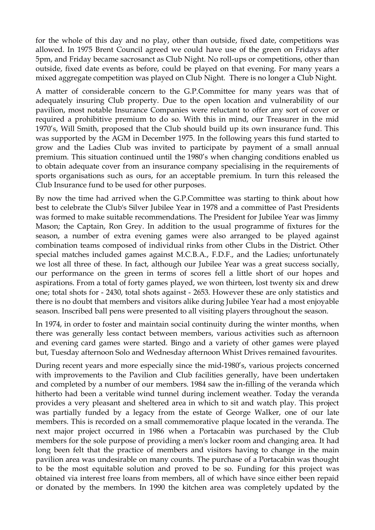for the whole of this day and no play, other than outside, fixed date, competitions was allowed. In 1975 Brent Council agreed we could have use of the green on Fridays after 5pm, and Friday became sacrosanct as Club Night. No roll-ups or competitions, other than outside, fixed date events as before, could be played on that evening. For many years a mixed aggregate competition was played on Club Night. There is no longer a Club Night.

A matter of considerable concern to the G.P.Committee for many years was that of adequately insuring Club property. Due to the open location and vulnerability of our pavilion, most notable Insurance Companies were reluctant to offer any sort of cover or required a prohibitive premium to do so. With this in mind, our Treasurer in the mid 1970's, Will Smith, proposed that the Club should build up its own insurance fund. This was supported by the AGM in December 1975. In the following years this fund started to grow and the Ladies Club was invited to participate by payment of a small annual premium. This situation continued until the 1980's when changing conditions enabled us to obtain adequate cover from an insurance company specialising in the requirements of sports organisations such as ours, for an acceptable premium. In turn this released the Club Insurance fund to be used for other purposes.

By now the time had arrived when the G.P.Committee was starting to think about how best to celebrate the Club's Silver Jubilee Year in 1978 and a committee of Past Presidents was formed to make suitable recommendations. The President for Jubilee Year was Jimmy Mason; the Captain, Ron Grey. In addition to the usual programme of fixtures for the season, a number of extra evening games were also arranged to be played against combination teams composed of individual rinks from other Clubs in the District. Other special matches included games against M.C.B.A., F.D.F., and the Ladies; unfortunately we lost all three of these. In fact, although our Jubilee Year was a great success socially, our performance on the green in terms of scores fell a little short of our hopes and aspirations. From a total of forty games played, we won thirteen, lost twenty six and drew one; total shots for - 2430, total shots against - 2653. However these are only statistics and there is no doubt that members and visitors alike during Jubilee Year had a most enjoyable season. Inscribed ball pens were presented to all visiting players throughout the season.

In 1974, in order to foster and maintain social continuity during the winter months, when there was generally less contact between members, various activities such as afternoon and evening card games were started. Bingo and a variety of other games were played but, Tuesday afternoon Solo and Wednesday afternoon Whist Drives remained favourites.

During recent years and more especially since the mid-1980's, various projects concerned with improvements to the Pavilion and Club facilities generally, have been undertaken and completed by a number of our members. 1984 saw the in-filling of the veranda which hitherto had been a veritable wind tunnel during inclement weather. Today the veranda provides a very pleasant and sheltered area in which to sit and watch play. This project was partially funded by a legacy from the estate of George Walker, one of our late members. This is recorded on a small commemorative plaque located in the veranda. The next major project occurred in 1986 when a Portacabin was purchased by the Club members for the sole purpose of providing a men's locker room and changing area. It had long been felt that the practice of members and visitors having to change in the main pavilion area was undesirable on many counts. The purchase of a Portacabin was thought to be the most equitable solution and proved to be so. Funding for this project was obtained via interest free loans from members, all of which have since either been repaid or donated by the members. In 1990 the kitchen area was completely updated by the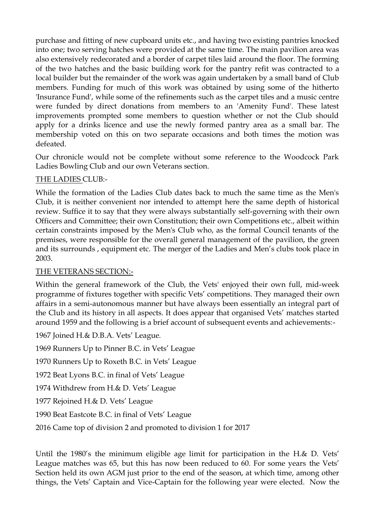purchase and fitting of new cupboard units etc., and having two existing pantries knocked into one; two serving hatches were provided at the same time. The main pavilion area was also extensively redecorated and a border of carpet tiles laid around the floor. The forming of the two hatches and the basic building work for the pantry refit was contracted to a local builder but the remainder of the work was again undertaken by a small band of Club members. Funding for much of this work was obtained by using some of the hitherto 'Insurance Fund', while some of the refinements such as the carpet tiles and a music centre were funded by direct donations from members to an 'Amenity Fund'. These latest improvements prompted some members to question whether or not the Club should apply for a drinks licence and use the newly formed pantry area as a small bar. The membership voted on this on two separate occasions and both times the motion was defeated.

Our chronicle would not be complete without some reference to the Woodcock Park Ladies Bowling Club and our own Veterans section.

#### THE LADIES CLUB:-

While the formation of the Ladies Club dates back to much the same time as the Men's Club, it is neither convenient nor intended to attempt here the same depth of historical review. Suffice it to say that they were always substantially self-governing with their own Officers and Committee; their own Constitution; their own Competitions etc., albeit within certain constraints imposed by the Men's Club who, as the formal Council tenants of the premises, were responsible for the overall general management of the pavilion, the green and its surrounds , equipment etc. The merger of the Ladies and Men's clubs took place in 2003.

#### THE VETERANS SECTION:-

Within the general framework of the Club, the Vets' enjoyed their own full, mid-week programme of fixtures together with specific Vets' competitions. They managed their own affairs in a semi-autonomous manner but have always been essentially an integral part of the Club and its history in all aspects. It does appear that organised Vets' matches started around 1959 and the following is a brief account of subsequent events and achievements:-

1967 Joined H.& D.B.A. Vets' League.

1969 Runners Up to Pinner B.C. in Vets' League 1970 Runners Up to Roxeth B.C. in Vets' League 1972 Beat Lyons B.C. in final of Vets' League 1974 Withdrew from H.& D. Vets' League 1977 Rejoined H.& D. Vets' League 1990 Beat Eastcote B.C. in final of Vets' League 2016 Came top of division 2 and promoted to division 1 for 2017

Until the 1980's the minimum eligible age limit for participation in the H.& D. Vets' League matches was 65, but this has now been reduced to 60. For some years the Vets' Section held its own AGM just prior to the end of the season, at which time, among other things, the Vets' Captain and Vice-Captain for the following year were elected. Now the